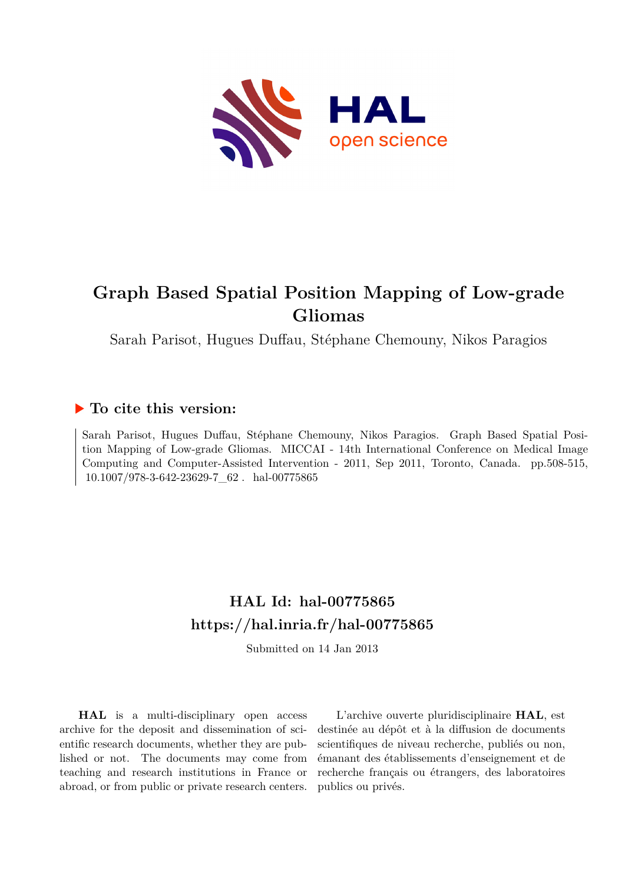

# **Graph Based Spatial Position Mapping of Low-grade Gliomas**

Sarah Parisot, Hugues Duffau, Stéphane Chemouny, Nikos Paragios

# **To cite this version:**

Sarah Parisot, Hugues Duffau, Stéphane Chemouny, Nikos Paragios. Graph Based Spatial Position Mapping of Low-grade Gliomas. MICCAI - 14th International Conference on Medical Image Computing and Computer-Assisted Intervention - 2011, Sep 2011, Toronto, Canada. pp.508-515,  $10.1007/978-3-642-23629-7$  62. hal-00775865

# **HAL Id: hal-00775865 <https://hal.inria.fr/hal-00775865>**

Submitted on 14 Jan 2013

**HAL** is a multi-disciplinary open access archive for the deposit and dissemination of scientific research documents, whether they are published or not. The documents may come from teaching and research institutions in France or abroad, or from public or private research centers.

L'archive ouverte pluridisciplinaire **HAL**, est destinée au dépôt et à la diffusion de documents scientifiques de niveau recherche, publiés ou non, émanant des établissements d'enseignement et de recherche français ou étrangers, des laboratoires publics ou privés.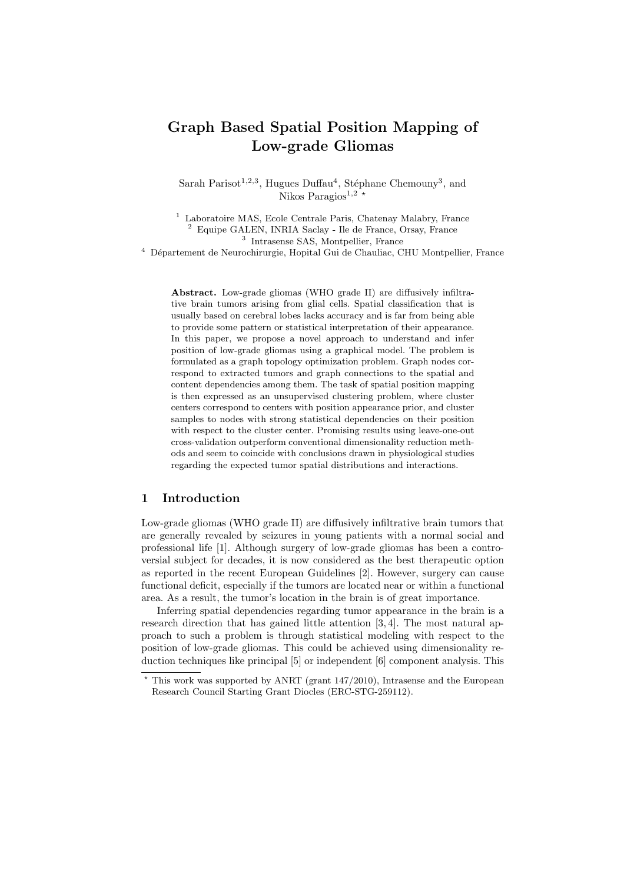# Graph Based Spatial Position Mapping of Low-grade Gliomas

Sarah Parisot<sup>1,2,3</sup>, Hugues Duffau<sup>4</sup>, Stéphane Chemouny<sup>3</sup>, and Nikos Paragios<sup>1,2</sup>  $\star$ 

<sup>1</sup> Laboratoire MAS, Ecole Centrale Paris, Chatenay Malabry, France <sup>2</sup> Equipe GALEN, INRIA Saclay - Ile de France, Orsay, France 3 Intrasense SAS, Montpellier, France

 $^4\,$  Département de Neurochirurgie, Hopital Gui de Chauliac, CHU Montpellier, France

Abstract. Low-grade gliomas (WHO grade II) are diffusively infiltrative brain tumors arising from glial cells. Spatial classification that is usually based on cerebral lobes lacks accuracy and is far from being able to provide some pattern or statistical interpretation of their appearance. In this paper, we propose a novel approach to understand and infer position of low-grade gliomas using a graphical model. The problem is formulated as a graph topology optimization problem. Graph nodes correspond to extracted tumors and graph connections to the spatial and content dependencies among them. The task of spatial position mapping is then expressed as an unsupervised clustering problem, where cluster centers correspond to centers with position appearance prior, and cluster samples to nodes with strong statistical dependencies on their position with respect to the cluster center. Promising results using leave-one-out cross-validation outperform conventional dimensionality reduction methods and seem to coincide with conclusions drawn in physiological studies regarding the expected tumor spatial distributions and interactions.

## 1 Introduction

Low-grade gliomas (WHO grade II) are diffusively infiltrative brain tumors that are generally revealed by seizures in young patients with a normal social and professional life [1]. Although surgery of low-grade gliomas has been a controversial subject for decades, it is now considered as the best therapeutic option as reported in the recent European Guidelines [2]. However, surgery can cause functional deficit, especially if the tumors are located near or within a functional area. As a result, the tumor's location in the brain is of great importance.

Inferring spatial dependencies regarding tumor appearance in the brain is a research direction that has gained little attention [3, 4]. The most natural approach to such a problem is through statistical modeling with respect to the position of low-grade gliomas. This could be achieved using dimensionality reduction techniques like principal [5] or independent [6] component analysis. This

This work was supported by ANRT (grant  $147/2010$ ), Intrasense and the European Research Council Starting Grant Diocles (ERC-STG-259112).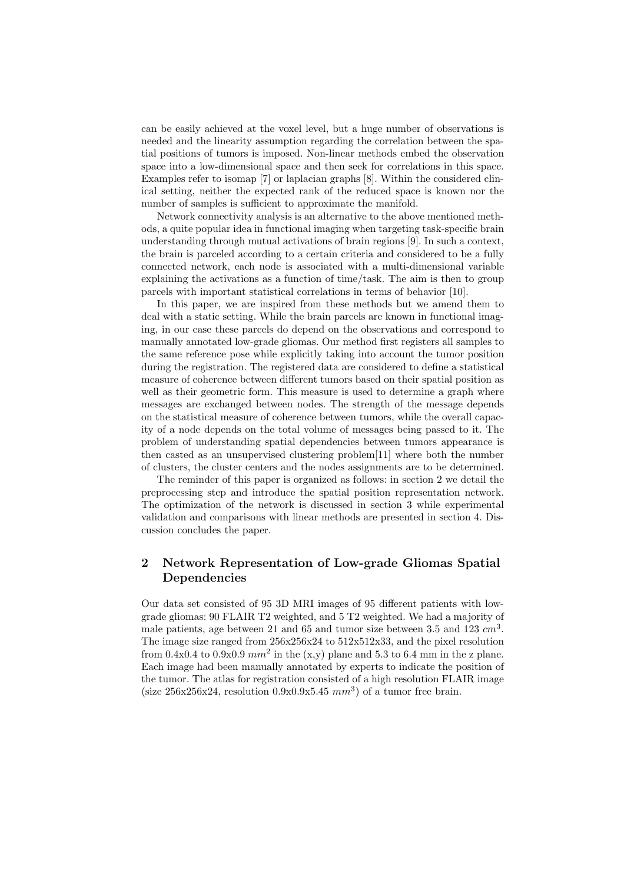can be easily achieved at the voxel level, but a huge number of observations is needed and the linearity assumption regarding the correlation between the spatial positions of tumors is imposed. Non-linear methods embed the observation space into a low-dimensional space and then seek for correlations in this space. Examples refer to isomap [7] or laplacian graphs [8]. Within the considered clinical setting, neither the expected rank of the reduced space is known nor the number of samples is sufficient to approximate the manifold.

Network connectivity analysis is an alternative to the above mentioned methods, a quite popular idea in functional imaging when targeting task-specific brain understanding through mutual activations of brain regions [9]. In such a context, the brain is parceled according to a certain criteria and considered to be a fully connected network, each node is associated with a multi-dimensional variable explaining the activations as a function of time/task. The aim is then to group parcels with important statistical correlations in terms of behavior [10].

In this paper, we are inspired from these methods but we amend them to deal with a static setting. While the brain parcels are known in functional imaging, in our case these parcels do depend on the observations and correspond to manually annotated low-grade gliomas. Our method first registers all samples to the same reference pose while explicitly taking into account the tumor position during the registration. The registered data are considered to define a statistical measure of coherence between different tumors based on their spatial position as well as their geometric form. This measure is used to determine a graph where messages are exchanged between nodes. The strength of the message depends on the statistical measure of coherence between tumors, while the overall capacity of a node depends on the total volume of messages being passed to it. The problem of understanding spatial dependencies between tumors appearance is then casted as an unsupervised clustering problem[11] where both the number of clusters, the cluster centers and the nodes assignments are to be determined.

The reminder of this paper is organized as follows: in section 2 we detail the preprocessing step and introduce the spatial position representation network. The optimization of the network is discussed in section 3 while experimental validation and comparisons with linear methods are presented in section 4. Discussion concludes the paper.

## 2 Network Representation of Low-grade Gliomas Spatial Dependencies

Our data set consisted of 95 3D MRI images of 95 different patients with lowgrade gliomas: 90 FLAIR T2 weighted, and 5 T2 weighted. We had a majority of male patients, age between 21 and 65 and tumor size between 3.5 and 123  $cm<sup>3</sup>$ . The image size ranged from  $256x256x24$  to  $512x512x33$ , and the pixel resolution from  $0.4 \times 0.4$  to  $0.9 \times 0.9$  mm<sup>2</sup> in the  $(x, y)$  plane and 5.3 to 6.4 mm in the z plane. Each image had been manually annotated by experts to indicate the position of the tumor. The atlas for registration consisted of a high resolution FLAIR image (size  $256x256x24$ , resolution  $0.9x0.9x5.45$  mm<sup>3</sup>) of a tumor free brain.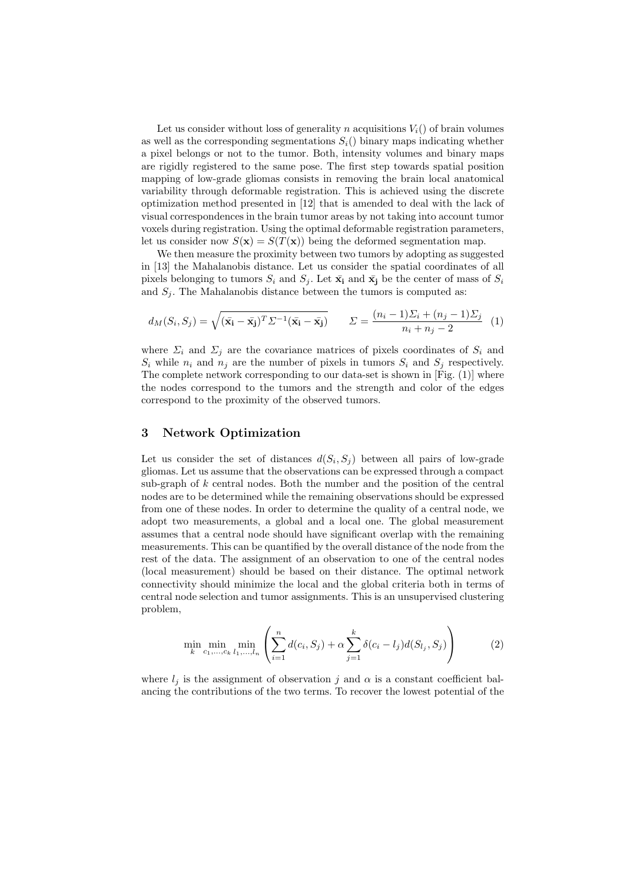Let us consider without loss of generality n acquisitions  $V_i()$  of brain volumes as well as the corresponding segmentations  $S_i()$  binary maps indicating whether a pixel belongs or not to the tumor. Both, intensity volumes and binary maps are rigidly registered to the same pose. The first step towards spatial position mapping of low-grade gliomas consists in removing the brain local anatomical variability through deformable registration. This is achieved using the discrete optimization method presented in [12] that is amended to deal with the lack of visual correspondences in the brain tumor areas by not taking into account tumor voxels during registration. Using the optimal deformable registration parameters, let us consider now  $S(\mathbf{x}) = S(T(\mathbf{x}))$  being the deformed segmentation map.

We then measure the proximity between two tumors by adopting as suggested in [13] the Mahalanobis distance. Let us consider the spatial coordinates of all pixels belonging to tumors  $S_i$  and  $S_j$ . Let  $\bar{\mathbf{x}}_i$  and  $\bar{\mathbf{x}}_j$  be the center of mass of  $S_i$ and  $S_i$ . The Mahalanobis distance between the tumors is computed as:

$$
d_M(S_i, S_j) = \sqrt{(\bar{\mathbf{x}}_i - \bar{\mathbf{x}}_j)^T \Sigma^{-1} (\bar{\mathbf{x}}_i - \bar{\mathbf{x}}_j)} \qquad \Sigma = \frac{(n_i - 1)\Sigma_i + (n_j - 1)\Sigma_j}{n_i + n_j - 2} \tag{1}
$$

where  $\Sigma_i$  and  $\Sigma_j$  are the covariance matrices of pixels coordinates of  $S_i$  and  $S_i$  while  $n_i$  and  $n_j$  are the number of pixels in tumors  $S_i$  and  $S_j$  respectively. The complete network corresponding to our data-set is shown in [Fig. (1)] where the nodes correspond to the tumors and the strength and color of the edges correspond to the proximity of the observed tumors.

### 3 Network Optimization

Let us consider the set of distances  $d(S_i, S_j)$  between all pairs of low-grade gliomas. Let us assume that the observations can be expressed through a compact sub-graph of k central nodes. Both the number and the position of the central nodes are to be determined while the remaining observations should be expressed from one of these nodes. In order to determine the quality of a central node, we adopt two measurements, a global and a local one. The global measurement assumes that a central node should have significant overlap with the remaining measurements. This can be quantified by the overall distance of the node from the rest of the data. The assignment of an observation to one of the central nodes (local measurement) should be based on their distance. The optimal network connectivity should minimize the local and the global criteria both in terms of central node selection and tumor assignments. This is an unsupervised clustering problem,

$$
\min_{k} \min_{c_1, ..., c_k} \min_{l_1, ..., l_n} \left( \sum_{i=1}^n d(c_i, S_j) + \alpha \sum_{j=1}^k \delta(c_i - l_j) d(S_{l_j}, S_j) \right) \tag{2}
$$

where  $l_i$  is the assignment of observation j and  $\alpha$  is a constant coefficient balancing the contributions of the two terms. To recover the lowest potential of the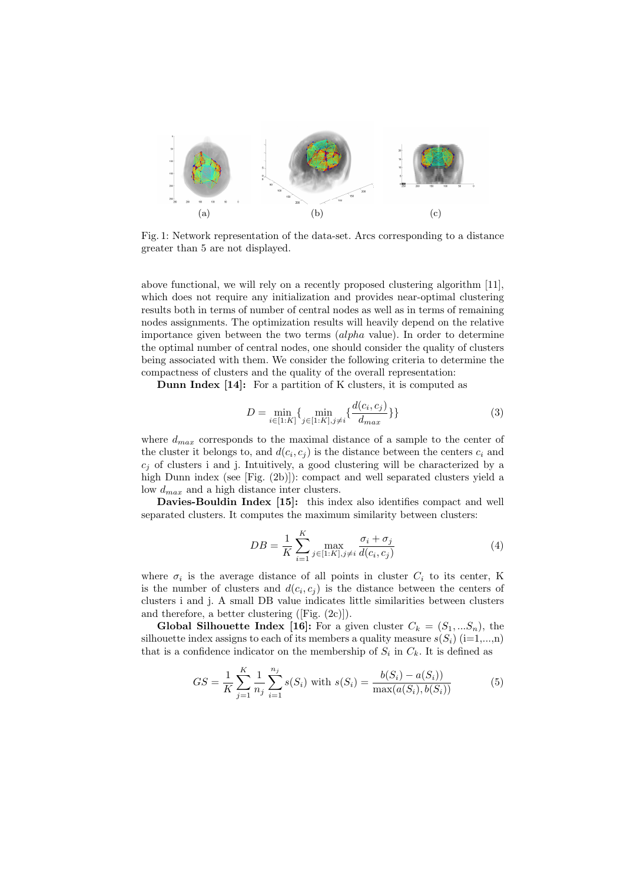

Fig. 1: Network representation of the data-set. Arcs corresponding to a distance greater than 5 are not displayed.

above functional, we will rely on a recently proposed clustering algorithm [11], which does not require any initialization and provides near-optimal clustering results both in terms of number of central nodes as well as in terms of remaining nodes assignments. The optimization results will heavily depend on the relative importance given between the two terms (alpha value). In order to determine the optimal number of central nodes, one should consider the quality of clusters being associated with them. We consider the following criteria to determine the compactness of clusters and the quality of the overall representation:

Dunn Index [14]: For a partition of K clusters, it is computed as

$$
D = \min_{i \in [1:K]} \{ \min_{j \in [1:K], j \neq i} \{ \frac{d(c_i, c_j)}{d_{max}} \} \}
$$
\n(3)

where  $d_{max}$  corresponds to the maximal distance of a sample to the center of the cluster it belongs to, and  $d(c_i, c_j)$  is the distance between the centers  $c_i$  and  $c_j$  of clusters i and j. Intuitively, a good clustering will be characterized by a high Dunn index (see [Fig. (2b)]): compact and well separated clusters yield a low  $d_{max}$  and a high distance inter clusters.

Davies-Bouldin Index [15]: this index also identifies compact and well separated clusters. It computes the maximum similarity between clusters:

$$
DB = \frac{1}{K} \sum_{i=1}^{K} \max_{j \in [1:K], j \neq i} \frac{\sigma_i + \sigma_j}{d(c_i, c_j)}
$$
(4)

where  $\sigma_i$  is the average distance of all points in cluster  $C_i$  to its center, K is the number of clusters and  $d(c_i, c_j)$  is the distance between the centers of clusters i and j. A small DB value indicates little similarities between clusters and therefore, a better clustering ([Fig. (2c)]).

**Global Silhouette Index [16]:** For a given cluster  $C_k = (S_1, \ldots, S_n)$ , the silhouette index assigns to each of its members a quality measure  $s(S_i)$  (i=1,...,n) that is a confidence indicator on the membership of  $S_i$  in  $C_k$ . It is defined as

$$
GS = \frac{1}{K} \sum_{j=1}^{K} \frac{1}{n_j} \sum_{i=1}^{n_j} s(S_i) \text{ with } s(S_i) = \frac{b(S_i) - a(S_i))}{\max(a(S_i), b(S_i))}
$$
(5)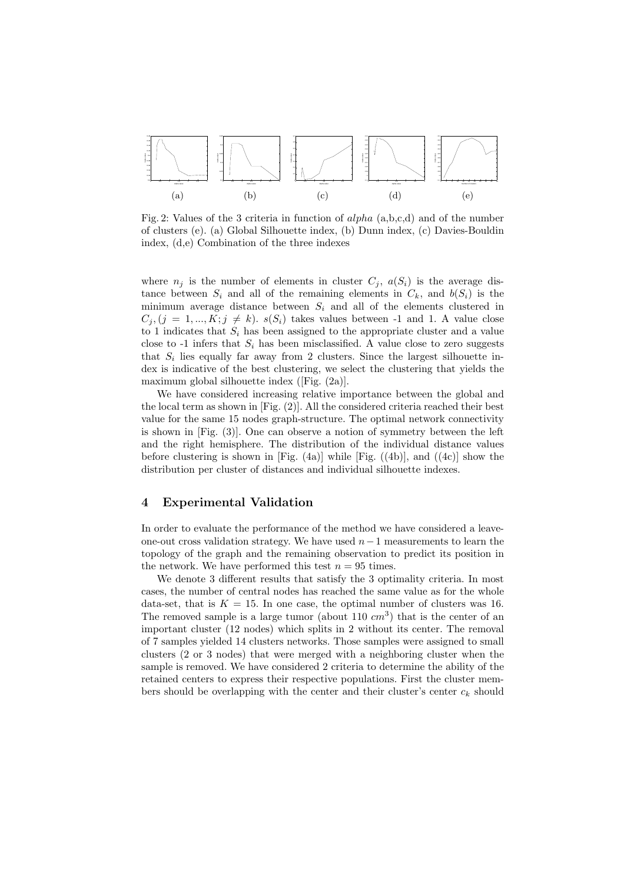

Fig. 2: Values of the 3 criteria in function of alpha (a,b,c,d) and of the number of clusters (e). (a) Global Silhouette index, (b) Dunn index, (c) Davies-Bouldin index, (d,e) Combination of the three indexes

where  $n_j$  is the number of elements in cluster  $C_j$ ,  $a(S_i)$  is the average distance between  $S_i$  and all of the remaining elements in  $C_k$ , and  $b(S_i)$  is the minimum average distance between  $S_i$  and all of the elements clustered in  $C_j$ ,  $(j = 1, ..., K; j \neq k)$ .  $s(S_i)$  takes values between -1 and 1. A value close to 1 indicates that  $S_i$  has been assigned to the appropriate cluster and a value close to -1 infers that  $S_i$  has been misclassified. A value close to zero suggests that  $S_i$  lies equally far away from 2 clusters. Since the largest silhouette index is indicative of the best clustering, we select the clustering that yields the maximum global silhouette index ([Fig. (2a)].

We have considered increasing relative importance between the global and the local term as shown in [Fig. (2)]. All the considered criteria reached their best value for the same 15 nodes graph-structure. The optimal network connectivity is shown in [Fig. (3)]. One can observe a notion of symmetry between the left and the right hemisphere. The distribution of the individual distance values before clustering is shown in [Fig.  $(4a)$ ] while [Fig.  $((4b)$ ], and  $((4c)$ ] show the distribution per cluster of distances and individual silhouette indexes.

### 4 Experimental Validation

In order to evaluate the performance of the method we have considered a leaveone-out cross validation strategy. We have used  $n-1$  measurements to learn the topology of the graph and the remaining observation to predict its position in the network. We have performed this test  $n = 95$  times.

We denote 3 different results that satisfy the 3 optimality criteria. In most cases, the number of central nodes has reached the same value as for the whole data-set, that is  $K = 15$ . In one case, the optimal number of clusters was 16. The removed sample is a large tumor (about  $110 \, \text{cm}^3$ ) that is the center of an important cluster (12 nodes) which splits in 2 without its center. The removal of 7 samples yielded 14 clusters networks. Those samples were assigned to small clusters (2 or 3 nodes) that were merged with a neighboring cluster when the sample is removed. We have considered 2 criteria to determine the ability of the retained centers to express their respective populations. First the cluster members should be overlapping with the center and their cluster's center  $c_k$  should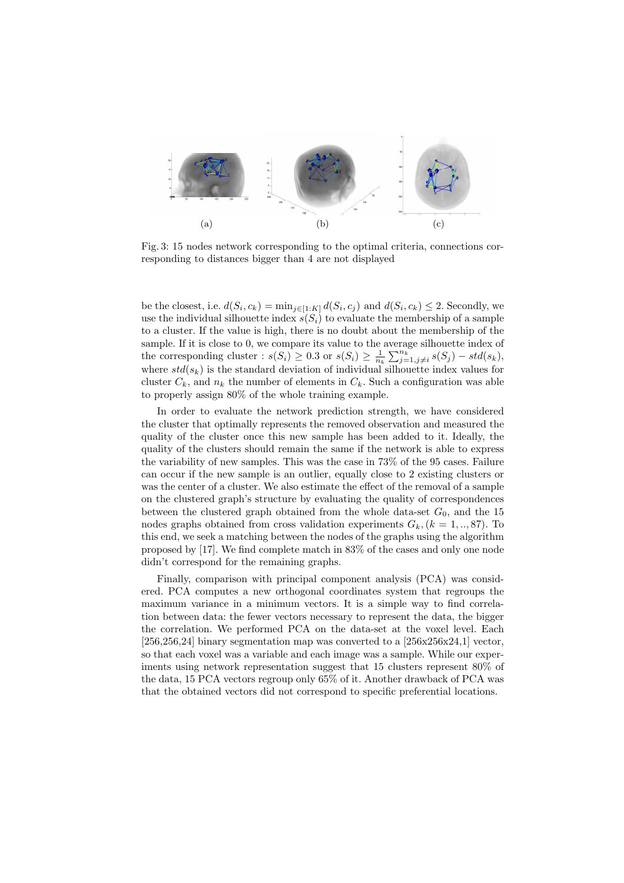

Fig. 3: 15 nodes network corresponding to the optimal criteria, connections corresponding to distances bigger than 4 are not displayed

be the closest, i.e.  $d(S_i, c_k) = \min_{j \in [1:K]} d(S_i, c_j)$  and  $d(S_i, c_k) \leq 2$ . Secondly, we use the individual silhouette index  $s(S_i)$  to evaluate the membership of a sample to a cluster. If the value is high, there is no doubt about the membership of the sample. If it is close to 0, we compare its value to the average silhouette index of the corresponding cluster :  $s(S_i) \geq 0.3$  or  $s(S_i) \geq \frac{1}{n_k} \sum_{j=1, j\neq i}^{n_k} s(S_j) - std(s_k)$ , where  $std(s_k)$  is the standard deviation of individual silhouette index values for cluster  $C_k$ , and  $n_k$  the number of elements in  $C_k$ . Such a configuration was able to properly assign 80% of the whole training example.

In order to evaluate the network prediction strength, we have considered the cluster that optimally represents the removed observation and measured the quality of the cluster once this new sample has been added to it. Ideally, the quality of the clusters should remain the same if the network is able to express the variability of new samples. This was the case in 73% of the 95 cases. Failure can occur if the new sample is an outlier, equally close to 2 existing clusters or was the center of a cluster. We also estimate the effect of the removal of a sample on the clustered graph's structure by evaluating the quality of correspondences between the clustered graph obtained from the whole data-set  $G_0$ , and the 15 nodes graphs obtained from cross validation experiments  $G_k$ ,  $(k = 1, ..., 87)$ . To this end, we seek a matching between the nodes of the graphs using the algorithm proposed by [17]. We find complete match in 83% of the cases and only one node didn't correspond for the remaining graphs.

Finally, comparison with principal component analysis (PCA) was considered. PCA computes a new orthogonal coordinates system that regroups the maximum variance in a minimum vectors. It is a simple way to find correlation between data: the fewer vectors necessary to represent the data, the bigger the correlation. We performed PCA on the data-set at the voxel level. Each  $[256,256,24]$  binary segmentation map was converted to a  $[256x256x24,1]$  vector. so that each voxel was a variable and each image was a sample. While our experiments using network representation suggest that 15 clusters represent 80% of the data, 15 PCA vectors regroup only 65% of it. Another drawback of PCA was that the obtained vectors did not correspond to specific preferential locations.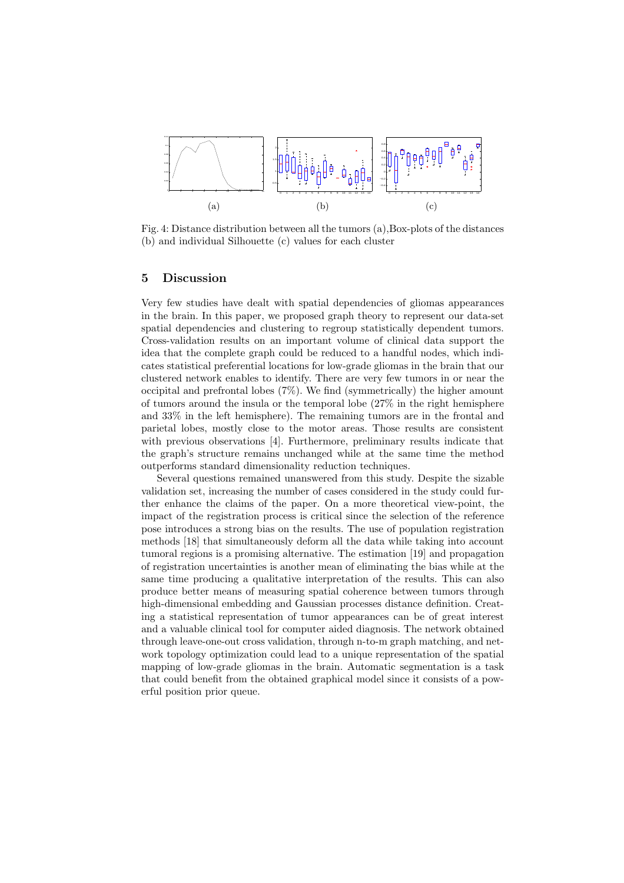

Fig. 4: Distance distribution between all the tumors (a),Box-plots of the distances (b) and individual Silhouette (c) values for each cluster

#### 5 Discussion

Very few studies have dealt with spatial dependencies of gliomas appearances in the brain. In this paper, we proposed graph theory to represent our data-set spatial dependencies and clustering to regroup statistically dependent tumors. Cross-validation results on an important volume of clinical data support the idea that the complete graph could be reduced to a handful nodes, which indicates statistical preferential locations for low-grade gliomas in the brain that our clustered network enables to identify. There are very few tumors in or near the occipital and prefrontal lobes (7%). We find (symmetrically) the higher amount of tumors around the insula or the temporal lobe (27% in the right hemisphere and 33% in the left hemisphere). The remaining tumors are in the frontal and parietal lobes, mostly close to the motor areas. Those results are consistent with previous observations [4]. Furthermore, preliminary results indicate that the graph's structure remains unchanged while at the same time the method outperforms standard dimensionality reduction techniques.

Several questions remained unanswered from this study. Despite the sizable validation set, increasing the number of cases considered in the study could further enhance the claims of the paper. On a more theoretical view-point, the impact of the registration process is critical since the selection of the reference pose introduces a strong bias on the results. The use of population registration methods [18] that simultaneously deform all the data while taking into account tumoral regions is a promising alternative. The estimation [19] and propagation of registration uncertainties is another mean of eliminating the bias while at the same time producing a qualitative interpretation of the results. This can also produce better means of measuring spatial coherence between tumors through high-dimensional embedding and Gaussian processes distance definition. Creating a statistical representation of tumor appearances can be of great interest and a valuable clinical tool for computer aided diagnosis. The network obtained through leave-one-out cross validation, through n-to-m graph matching, and network topology optimization could lead to a unique representation of the spatial mapping of low-grade gliomas in the brain. Automatic segmentation is a task that could benefit from the obtained graphical model since it consists of a powerful position prior queue.